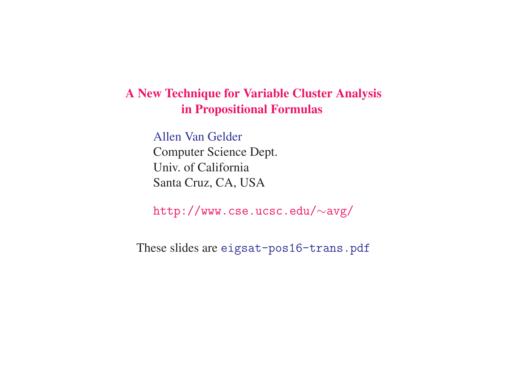## **A New Technique for Variable Cluster Analysis in Propositional Formulas**

Allen Van Gelder

Computer Science Dept. Univ. of California Santa Cruz, CA, USA

http://www.cse.ucsc.edu/ ∼avg/

These slides are eigsat-pos16-trans.pdf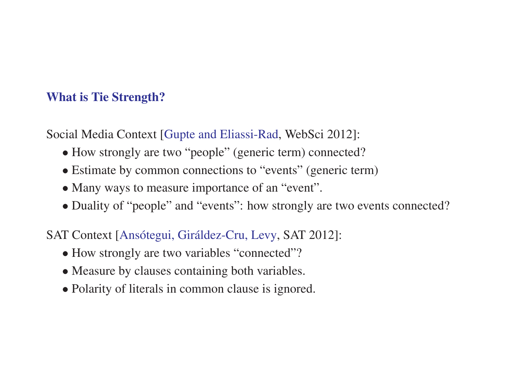## **What is Tie Strength?**

Social Media Context [Gupte and Eliassi-Rad, WebSci 2012]:

- How strongly are two "people" (generic term) connected?
- Estimate by common connections to "events" (generic term)
- Many ways to measure importance of an "event".
- Duality of "people" and "events": how strongly are two events connected?

SAT Context [Ansótegui, Giráldez-Cru, Levy, SAT 2012]:

- How strongly are two variables "connected"?
- Measure by clauses containing both variables.
- Polarity of literals in common clause is ignored.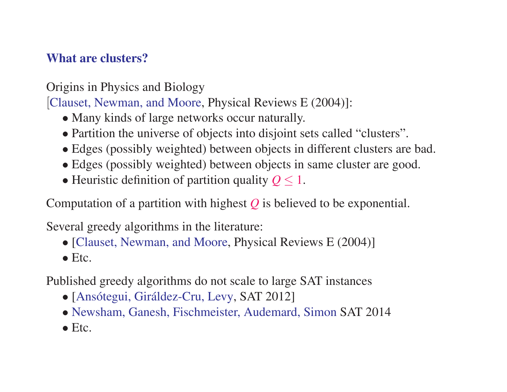# **What are clusters?**

Origins in Physics and Biology

[Clauset, Newman, and Moore, Physical Reviews <sup>E</sup> (2004)]:

- Many kinds of large networks occur naturally.
- Partition the universe of objects into disjoint sets called "clusters".
- Edges (possibly weighted) between objects in different clusters are bad.
- Edges (possibly weighted) between objects in same cluster are good.
- Heuristic definition of partition quality  $Q \leq 1$ .

Computation of <sup>a</sup> partition with highest *Q* is believed to be exponential.

Several greedy algorithms in the literature:

- [Clauset, Newman, and Moore, Physical Reviews E (2004)]
- Etc.

Published greedy algorithms do not scale to large SAT instances

- [Ansótegui, Giráldez-Cru, Levy, SAT 2012]
- Newsham, Ganesh, Fischmeister, Audemard, Simon SAT 2014
- Etc.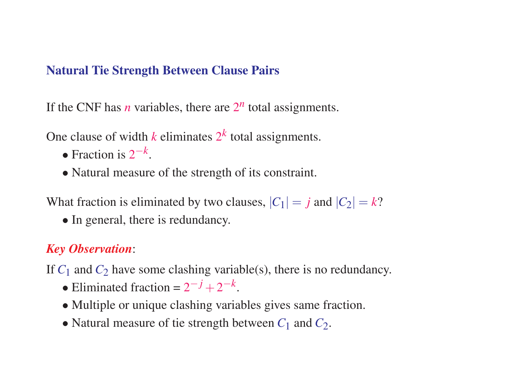#### **Natural Tie Strength Between Clause Pairs**

If the CNF has *n* variables, there are  $2^n$  total assignments.

One clause of width  $k$  eliminates  $2^k$  total assignments.

- Fraction is  $2^{-k}$ .
- Natural measure of the strength of its constraint.

What fraction is eliminated by two clauses,  $|C_1| = j$  and  $|C_2| = k$ ?

• In general, there is redundancy.

# *Key Observation*:

- If  $C_1$  and  $C_2$  have some clashing variable(s), there is no redundancy.
	- Eliminated fraction =  $2^{-j} + 2^{-k}$ .
	- Multiple or unique clashing variables gives same fraction.
	- Natural measure of tie strength between  $C_1$  and  $C_2$ .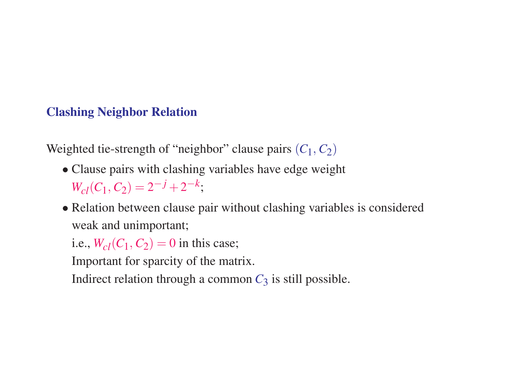## **Clashing Neighbor Relation**

Weighted tie-strength of "neighbor" clause pairs  $(C_1, C_2)$ 

- Clause pairs with clashing variables have edge weight  $W_{c}(C_1, C_2) = 2^{-j} + 2^{-k};$
- Relation between clause pair without clashing variables is considered weak and unimportant;

i.e.,  $W_{cl}(C_1, C_2) = 0$  in this case;

Important for sparcity of the matrix.

Indirect relation through a common  $C_3$  is still possible.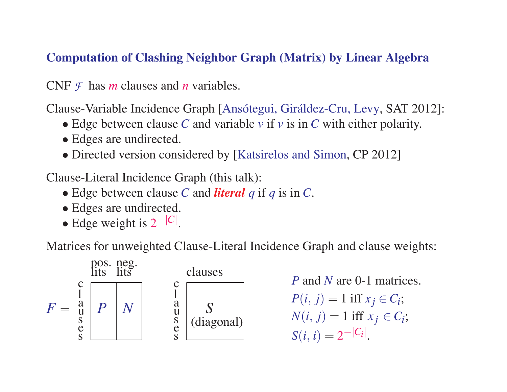## **Computation of Clashing Neighbor Graph (Matrix) by Linear Algebra**

CNF *F* has *<sup>m</sup>* clauses and *<sup>n</sup>* variables.

Clause-Variable Incidence Graph [Ansótegui, Giráldez-Cru, Levy, SAT 2012]:

- Edge between clause *C* and variable *<sup>v</sup>* if *<sup>v</sup>* is in *C* with either polarity.
- Edges are undirected.
- Directed version considered by [Katsirelos and Simon, CP 2012]

Clause-Literal Incidence Graph (this talk):

- Edge between clause *C* and *literal q* if *q* is in *C*.
- Edges are undirected.
- Edge weight is <sup>2</sup>−| *C*| .

Matrices for unweighted Clause-Literal Incidence Graph and clause weights:



*P* and *N* are 0-1 matrices.  $P(i, j) = 1$  iff  $x_j \in C_i$ ;  $N(i, j) = 1$  iff  $\overline{x_j} \in C_i$ ;  $S(i, i) = 2^{-|C_i|}.$ |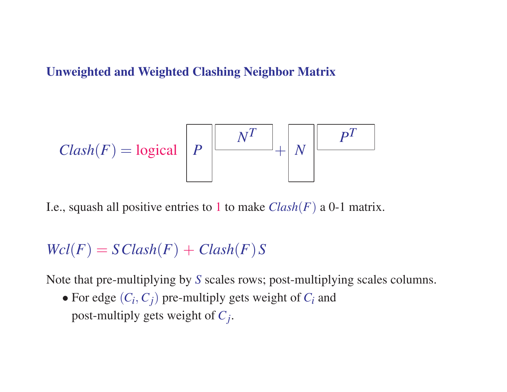#### **Unweighted and Weighted Clashing Neighbor Matrix**

$$
Clash(F) = \text{logical } P
$$
  $\left[\begin{array}{c|c} & N^T & N & P^T \end{array}\right]$ 

I.e., squash all positive entries to 1 to make *Clash* ( *F* ) <sup>a</sup> 0-1 matrix.

$$
Wcl(F) = S\,
$$

Note that pre-multiplying by *S* scales rows; post-multiplying scales columns.

• For edge  $(C_i, C_j)$  pre-multiply gets weight of  $C_i$  and post-multiply gets weight of *Cj* .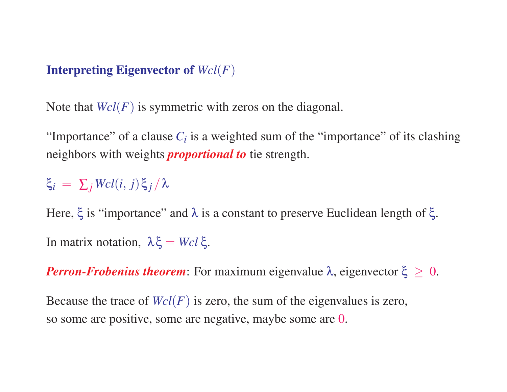## **Interpreting Eigenvector of**  $Wcl(F)$

Note that *Wcl*(*F*) is symmetric with zeros on the diagonal.

"Importance" of a clause  $C_i$  is a weighted sum of the "importance" of its clashing neighbors with weights *proportional to* tie strength.

# ξ*<sup>i</sup>* <sup>=</sup> ∑*<sup>j</sup> Wcl*(*<sup>i</sup>*, *j*)ξ *<sup>j</sup>* /<sup>λ</sup>

Here,  $\xi$  is "importance" and  $\lambda$  is a constant to preserve Euclidean length of  $\xi$ . In matrix notation,  $\lambda \xi = Wcl \xi$ .

*Perron-Frobenius theorem*: For maximum eigenvalue  $\lambda$ , eigenvector  $\xi \geq 0$ .

Because the trace of  $Wcl(F)$  is zero, the sum of the eigenvalues is zero, so some are positive, some are negative, maybe some are 0.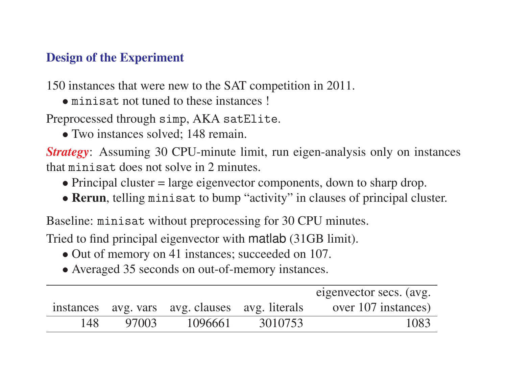# **Design of the Experiment**

150 instances that were new to the SAT competition in 2011.

• minisat not tuned to these instances !

Preprocessed through simp, AKA satElite.

• Two instances solved; 148 remain.

*Strategy*: Assuming 30 CPU-minute limit, run eigen-analysis only on instances that minisat does not solve in 2 minutes.

- Principal cluster = large eigenvector components, down to sharp drop.
- **Rerun**, telling minisat to bump "activity" in clauses of principal cluster.

Baseline: minisat without preprocessing for 30 CPU minutes.

Tried to find principal eigenvector with matlab (31GB limit).

- Out of memory on 41 instances; succeeded on 107.
- Averaged 35 seconds on out-of-memory instances.

|      |       |                                                |         | eigenvector secs. (avg. |
|------|-------|------------------------------------------------|---------|-------------------------|
|      |       | instances avg. vars avg. clauses avg. literals |         | over 107 instances)     |
| 148. | 97003 | 1096661                                        | 3010753 | 1083                    |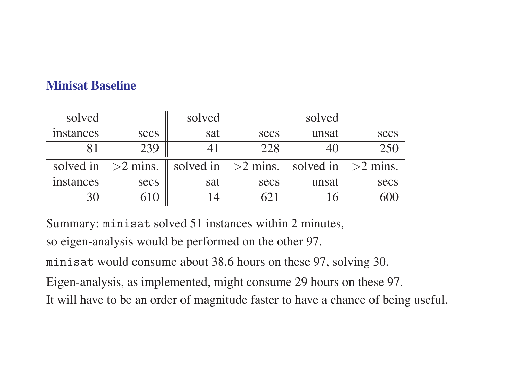# **Minisat Baseline**

| solved    |                      | solved |                      | solved               |      |
|-----------|----------------------|--------|----------------------|----------------------|------|
| instances | secs                 | sat    | secs                 | unsat                | secs |
|           | 239                  | 4 I    | 228                  |                      | 250  |
|           | solved in $>2$ mins. |        | solved in $>2$ mins. | solved in $>2$ mins. |      |
| instances | secs                 | sat    | secs                 | unsat                | secs |
|           |                      |        |                      |                      |      |

Summary: minisat solved 51 instances within 2 minutes,

so eigen-analysis would be performed on the other 97.

minisat would consume about 38.6 hours on these 97, solving 30.

Eigen-analysis, as implemented, might consume 29 hours on these 97.

It will have to be an order of magnitude faster to have <sup>a</sup> chance of being useful.